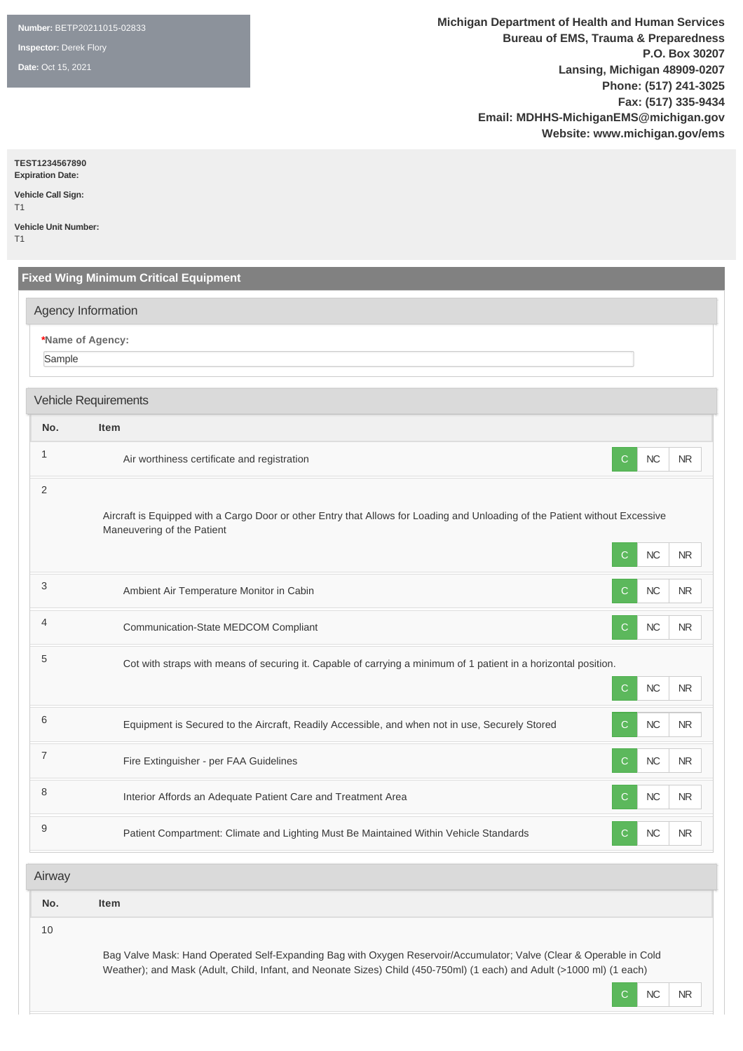**Number:** BETP20211015-02833

**Inspector:** Derek Flory

**Date:** Oct 15, 2021

**Michigan Department of Health and Human Services Bureau of EMS, Trauma & Preparedness P.O. Box 30207 Lansing, Michigan 48909-0207 Phone: (517) 241-3025 Fax: (517) 335-9434 Email: MDHHS-MichiganEMS@michigan.gov Website: www.michigan.gov/ems**

**TEST1234567890**

**Expiration Date: Vehicle Call Sign:** 

 $T<sub>1</sub>$ 

**Vehicle Unit Number:**  T1

**Fixed Wing Minimum Critical Equipment \*Name of Agency:** Sample **No. Item** <sup>1</sup> Air worthiness certificate and registration <sup>C</sup> NC NR 2 Aircraft is Equipped with a Cargo Door or other Entry that Allows for Loading and Unloading of the Patient without Excessive Maneuvering of the Patient C NC NR <sup>3</sup> Ambient Air Temperature Monitor in Cabin <sup>C</sup> NC NR 4 Communication-State MEDCOM Compliant C NC NR <sup>5</sup> Cot with straps with means of securing it. Capable of carrying a minimum of 1 patient in a horizontal position. C NC NR 6 Equipment is Secured to the Aircraft, Readily Accessible, and when not in use, Securely Stored C NC NR T Fire Extinguisher - per FAA Guidelines C NC NR 8 Interior Affords an Adequate Patient Care and Treatment Area C NC NR NR 9 **Patient Compartment: Climate and Lighting Must Be Maintained Within Vehicle Standards** C **NC** NR **No. Item** Agency Information Vehicle Requirements Airway

10

Bag Valve Mask: Hand Operated Self-Expanding Bag with Oxygen Reservoir/Accumulator; Valve (Clear & Operable in Cold Weather); and Mask (Adult, Child, Infant, and Neonate Sizes) Child (450-750ml) (1 each) and Adult (>1000 ml) (1 each)

C NC NR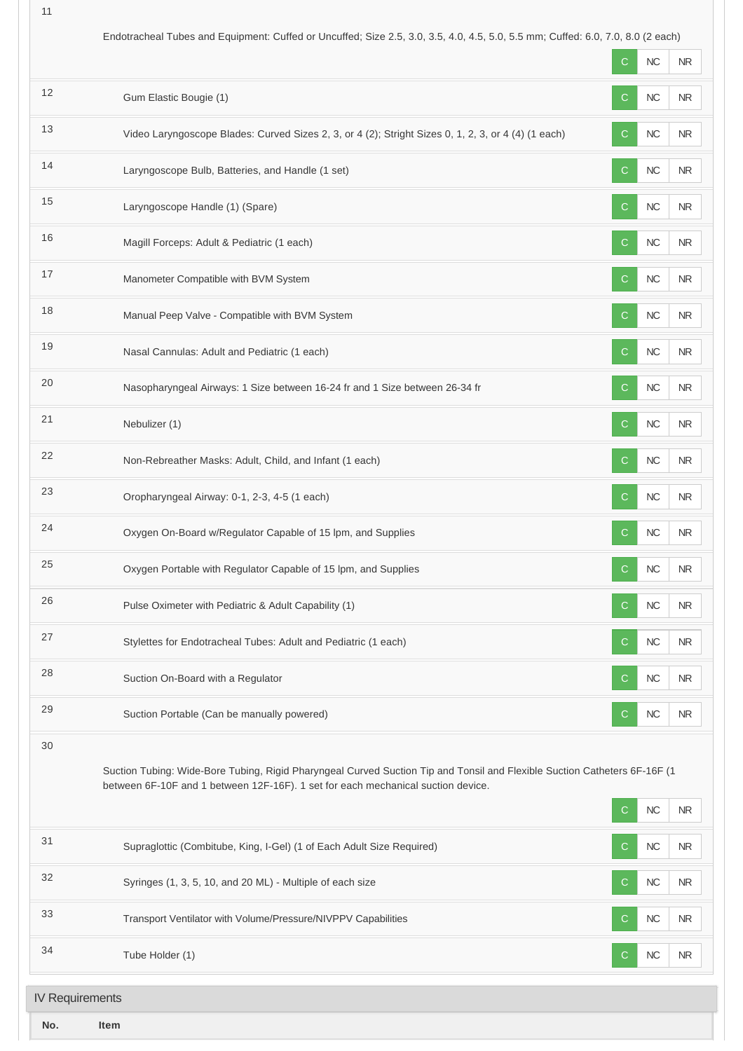| Endotracheal Tubes and Equipment: Cuffed or Uncuffed; Size 2.5, 3.0, 3.5, 4.0, 4.5, 5.0, 5.5 mm; Cuffed: 6.0, 7.0, 8.0 (2 each) |  |  |
|---------------------------------------------------------------------------------------------------------------------------------|--|--|

|                        |                                                                                                                                                                                                               | C            | <b>NC</b> | <b>NR</b> |
|------------------------|---------------------------------------------------------------------------------------------------------------------------------------------------------------------------------------------------------------|--------------|-----------|-----------|
| 12                     | Gum Elastic Bougie (1)                                                                                                                                                                                        | C.           | NC        | <b>NR</b> |
| 13                     | Video Laryngoscope Blades: Curved Sizes 2, 3, or 4 (2); Stright Sizes 0, 1, 2, 3, or 4 (4) (1 each)                                                                                                           | C            | $NC$      | <b>NR</b> |
| 14                     | Laryngoscope Bulb, Batteries, and Handle (1 set)                                                                                                                                                              | C            | $NC$      | <b>NR</b> |
| 15                     | Laryngoscope Handle (1) (Spare)                                                                                                                                                                               | C            | NC        | <b>NR</b> |
| 16                     | Magill Forceps: Adult & Pediatric (1 each)                                                                                                                                                                    | $\mathsf{C}$ | $NC$      | <b>NR</b> |
| 17                     | Manometer Compatible with BVM System                                                                                                                                                                          | C            | NC        | <b>NR</b> |
| 18                     | Manual Peep Valve - Compatible with BVM System                                                                                                                                                                | C.           | $NC$      | <b>NR</b> |
| 19                     | Nasal Cannulas: Adult and Pediatric (1 each)                                                                                                                                                                  | C            | $NC$      | <b>NR</b> |
| 20                     | Nasopharyngeal Airways: 1 Size between 16-24 fr and 1 Size between 26-34 fr                                                                                                                                   | C            | $NC$      | <b>NR</b> |
| 21                     | Nebulizer (1)                                                                                                                                                                                                 | $\mathsf{C}$ | NC        | <b>NR</b> |
| 22                     | Non-Rebreather Masks: Adult, Child, and Infant (1 each)                                                                                                                                                       | C            | NC        | NR.       |
| 23                     | Oropharyngeal Airway: 0-1, 2-3, 4-5 (1 each)                                                                                                                                                                  | $\mathsf{C}$ | NC        | <b>NR</b> |
| 24                     | Oxygen On-Board w/Regulator Capable of 15 lpm, and Supplies                                                                                                                                                   | C            | NC        | NR        |
| 25                     | Oxygen Portable with Regulator Capable of 15 lpm, and Supplies                                                                                                                                                | C.           | $NC$      | <b>NR</b> |
| 26                     | Pulse Oximeter with Pediatric & Adult Capability (1)                                                                                                                                                          | C            | $NC$      | <b>NR</b> |
| 27                     | Stylettes for Endotracheal Tubes: Adult and Pediatric (1 each)                                                                                                                                                | C.           | $NC$      | <b>NR</b> |
| 28                     | Suction On-Board with a Regulator                                                                                                                                                                             | C            | $NC$      | <b>NR</b> |
| 29                     | Suction Portable (Can be manually powered)                                                                                                                                                                    | $\mathsf{C}$ | $NC$      | NR        |
| 30                     | Suction Tubing: Wide-Bore Tubing, Rigid Pharyngeal Curved Suction Tip and Tonsil and Flexible Suction Catheters 6F-16F (1<br>between 6F-10F and 1 between 12F-16F). 1 set for each mechanical suction device. | C            | $NC$      | <b>NR</b> |
| 31                     | Supraglottic (Combitube, King, I-Gel) (1 of Each Adult Size Required)                                                                                                                                         | C            | $NC$      | <b>NR</b> |
| 32                     | Syringes (1, 3, 5, 10, and 20 ML) - Multiple of each size                                                                                                                                                     | $\mathsf{C}$ | $NC$      | <b>NR</b> |
| 33                     | Transport Ventilator with Volume/Pressure/NIVPPV Capabilities                                                                                                                                                 | C            | $NC$      | NR        |
| 34                     | Tube Holder (1)                                                                                                                                                                                               | $\mathsf{C}$ | NC        | <b>NR</b> |
| <b>IV Requirements</b> |                                                                                                                                                                                                               |              |           |           |
| No.                    | Item                                                                                                                                                                                                          |              |           |           |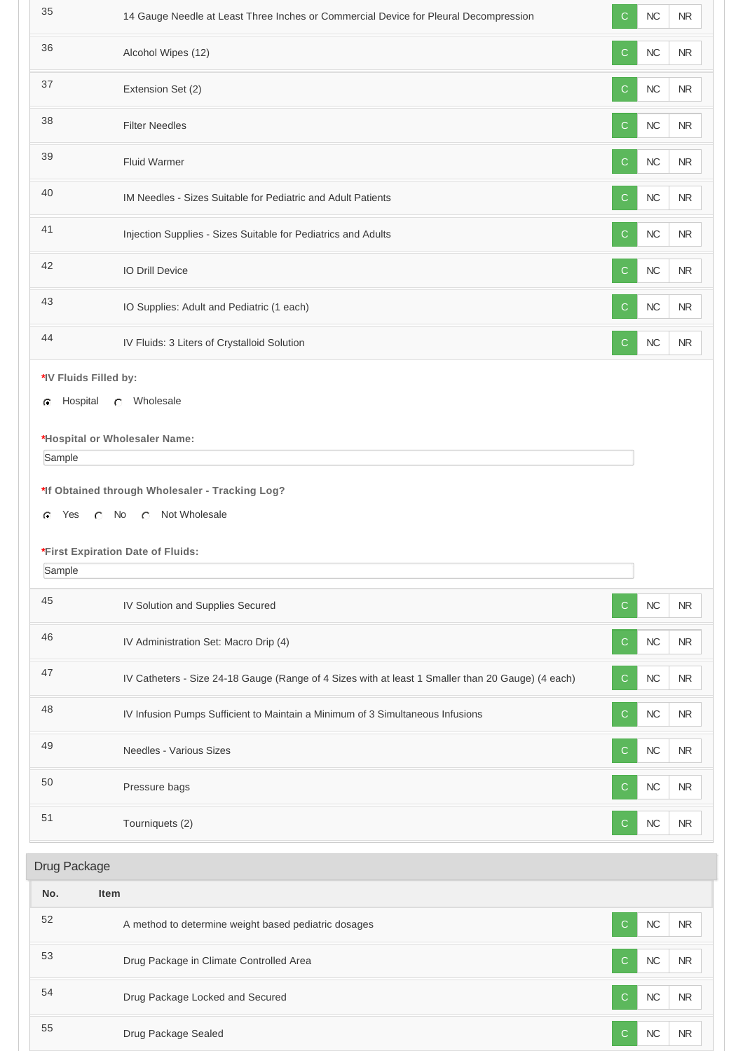| 35           | 14 Gauge Needle at Least Three Inches or Commercial Device for Pleural Decompression              | C            | NC        | ${\sf NR}$ |  |
|--------------|---------------------------------------------------------------------------------------------------|--------------|-----------|------------|--|
| 36           | Alcohol Wipes (12)                                                                                | $\mathsf{C}$ | NC        | ${\sf NR}$ |  |
| 37           | Extension Set (2)                                                                                 | $\mathbf C$  | $NC$      | <b>NR</b>  |  |
| 38           | <b>Filter Needles</b>                                                                             | $\mathsf{C}$ | $NC$      | ${\sf NR}$ |  |
| 39           | <b>Fluid Warmer</b>                                                                               | ${\bf C}$    | $NC$      | ${\sf NR}$ |  |
| 40           | IM Needles - Sizes Suitable for Pediatric and Adult Patients                                      | $\mathsf{C}$ | $NC$      | ${\sf NR}$ |  |
| 41           | Injection Supplies - Sizes Suitable for Pediatrics and Adults                                     | $\mathsf{C}$ | $NC$      | ${\sf NR}$ |  |
| 42           | IO Drill Device                                                                                   | $\mathbf C$  | NC        | ${\sf NR}$ |  |
| 43           | IO Supplies: Adult and Pediatric (1 each)                                                         | $\mathbf C$  | NC        | NR         |  |
| 44           | IV Fluids: 3 Liters of Crystalloid Solution                                                       | $\mathsf{C}$ | $NC$      | ${\sf NR}$ |  |
|              | *IV Fluids Filled by:                                                                             |              |           |            |  |
| c            | C Wholesale<br>Hospital                                                                           |              |           |            |  |
|              |                                                                                                   |              |           |            |  |
| Sample       | *Hospital or Wholesaler Name:                                                                     |              |           |            |  |
|              |                                                                                                   |              |           |            |  |
|              | *If Obtained through Wholesaler - Tracking Log?                                                   |              |           |            |  |
| Yes<br>G     | C No C Not Wholesale                                                                              |              |           |            |  |
|              |                                                                                                   |              |           |            |  |
|              |                                                                                                   |              |           |            |  |
| Sample       | *First Expiration Date of Fluids:                                                                 |              |           |            |  |
| 45           | IV Solution and Supplies Secured                                                                  | $\mathsf{C}$ | NC        | <b>NR</b>  |  |
| 46           | IV Administration Set: Macro Drip (4)                                                             | $\mathsf{C}$ | NC        | ${\sf NR}$ |  |
| 47           | IV Catheters - Size 24-18 Gauge (Range of 4 Sizes with at least 1 Smaller than 20 Gauge) (4 each) | $\mathbf C$  | $NC$      | ${\sf NR}$ |  |
| 48           | IV Infusion Pumps Sufficient to Maintain a Minimum of 3 Simultaneous Infusions                    | C            | <b>NC</b> | ${\sf NR}$ |  |
| 49           | Needles - Various Sizes                                                                           | C            | $NC$      | ${\sf NR}$ |  |
| 50           | Pressure bags                                                                                     | $\mathsf{C}$ | NC        | ${\sf NR}$ |  |
| 51           | Tourniquets (2)                                                                                   | C            | <b>NC</b> | ${\sf NR}$ |  |
|              |                                                                                                   |              |           |            |  |
| Drug Package |                                                                                                   |              |           |            |  |
| No.          | <b>Item</b>                                                                                       |              |           |            |  |
| 52           | A method to determine weight based pediatric dosages                                              | $\mathsf{C}$ | NC        | ${\sf NR}$ |  |
| 53           | Drug Package in Climate Controlled Area                                                           | C            | NC        | ${\sf NR}$ |  |
| 54           | Drug Package Locked and Secured                                                                   | C            | NC        | ${\sf NR}$ |  |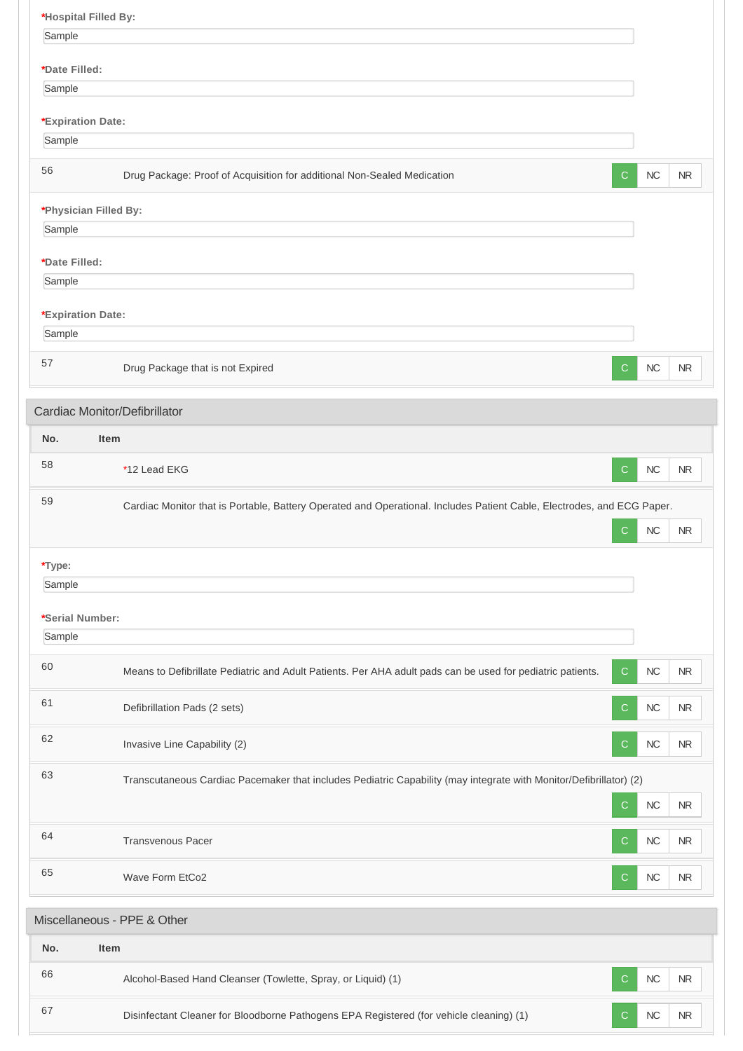| *Hospital Filled By:    |                                                                                                                        |              |            |            |  |
|-------------------------|------------------------------------------------------------------------------------------------------------------------|--------------|------------|------------|--|
| Sample                  |                                                                                                                        |              |            |            |  |
| *Date Filled:           |                                                                                                                        |              |            |            |  |
| Sample                  |                                                                                                                        |              |            |            |  |
|                         |                                                                                                                        |              |            |            |  |
| *Expiration Date:       |                                                                                                                        |              |            |            |  |
| Sample                  |                                                                                                                        |              |            |            |  |
| 56                      | Drug Package: Proof of Acquisition for additional Non-Sealed Medication                                                | C.           | <b>NC</b>  | <b>NR</b>  |  |
|                         | *Physician Filled By:                                                                                                  |              |            |            |  |
| Sample                  |                                                                                                                        |              |            |            |  |
|                         |                                                                                                                        |              |            |            |  |
| *Date Filled:<br>Sample |                                                                                                                        |              |            |            |  |
|                         |                                                                                                                        |              |            |            |  |
| *Expiration Date:       |                                                                                                                        |              |            |            |  |
| Sample                  |                                                                                                                        |              |            |            |  |
| 57                      | Drug Package that is not Expired                                                                                       | C            | NC         | <b>NR</b>  |  |
|                         |                                                                                                                        |              |            |            |  |
|                         | Cardiac Monitor/Defibrillator                                                                                          |              |            |            |  |
| No.                     | Item                                                                                                                   |              |            |            |  |
| 58                      | *12 Lead EKG                                                                                                           | $\mathbf C$  | NC         | <b>NR</b>  |  |
| 59                      | Cardiac Monitor that is Portable, Battery Operated and Operational. Includes Patient Cable, Electrodes, and ECG Paper. |              |            |            |  |
|                         |                                                                                                                        | C            | $NC$       | <b>NR</b>  |  |
|                         |                                                                                                                        |              |            |            |  |
| *Type:                  |                                                                                                                        |              |            |            |  |
| Sample                  |                                                                                                                        |              |            |            |  |
| *Serial Number:         |                                                                                                                        |              |            |            |  |
| Sample                  |                                                                                                                        |              |            |            |  |
|                         |                                                                                                                        |              |            |            |  |
| 60                      | Means to Defibrillate Pediatric and Adult Patients. Per AHA adult pads can be used for pediatric patients.             | C            | $NC$       | ${\sf NR}$ |  |
| 61                      | Defibrillation Pads (2 sets)                                                                                           | C            | ${\sf NC}$ | $\sf NR$   |  |
| 62                      | Invasive Line Capability (2)                                                                                           | С            | ${\sf NC}$ | ${\sf NR}$ |  |
| 63                      | Transcutaneous Cardiac Pacemaker that includes Pediatric Capability (may integrate with Monitor/Defibrillator) (2)     |              |            |            |  |
|                         |                                                                                                                        |              |            |            |  |
|                         |                                                                                                                        | $\mathsf{C}$ | $NC$       | ${\sf NR}$ |  |
| 64                      | <b>Transvenous Pacer</b>                                                                                               | C            | ${\sf NC}$ | $\sf NR$   |  |
| 65                      | Wave Form EtCo2                                                                                                        | С            | NC         | $\sf NR$   |  |
|                         | Miscellaneous - PPE & Other                                                                                            |              |            |            |  |
| No.                     | Item                                                                                                                   |              |            |            |  |
| 66                      |                                                                                                                        |              |            |            |  |
|                         | Alcohol-Based Hand Cleanser (Towlette, Spray, or Liquid) (1)                                                           | C            | NC         | <b>NR</b>  |  |
| 67                      | Disinfectant Cleaner for Bloodborne Pathogens EPA Registered (for vehicle cleaning) (1)                                | C            | $NC$       | ${\sf NR}$ |  |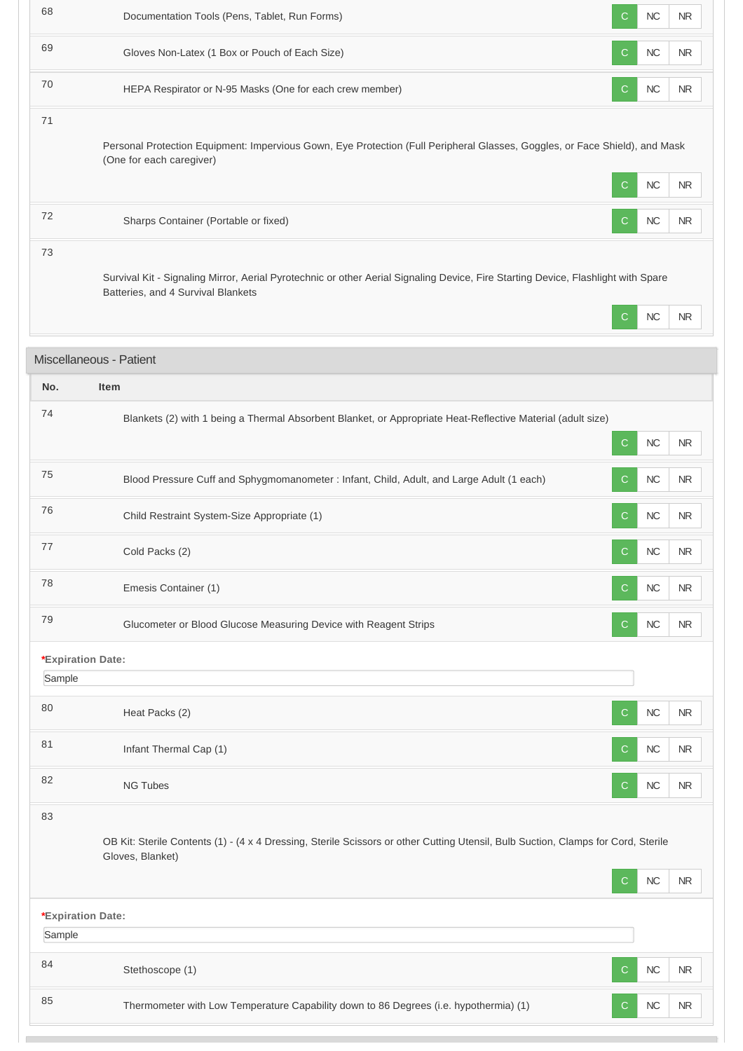| 69<br>$NC$<br>Gloves Non-Latex (1 Box or Pouch of Each Size)<br><b>NR</b><br>C<br>70<br>NC<br>HEPA Respirator or N-95 Masks (One for each crew member)<br>$\mathsf{C}$<br>NR.<br>71<br>Personal Protection Equipment: Impervious Gown, Eye Protection (Full Peripheral Glasses, Goggles, or Face Shield), and Mask<br>(One for each caregiver)<br>NC<br><b>NR</b><br>C<br>72<br>$NC$<br><b>NR</b><br>Sharps Container (Portable or fixed)<br>$\mathsf{C}$<br>73<br>Survival Kit - Signaling Mirror, Aerial Pyrotechnic or other Aerial Signaling Device, Fire Starting Device, Flashlight with Spare<br>Batteries, and 4 Survival Blankets<br>$NC$<br><b>NR</b><br>C<br>Miscellaneous - Patient<br>No.<br>Item<br>74<br>Blankets (2) with 1 being a Thermal Absorbent Blanket, or Appropriate Heat-Reflective Material (adult size)<br>NC<br>C.<br>NR.<br>75<br>$NC$<br>Blood Pressure Cuff and Sphygmomanometer : Infant, Child, Adult, and Large Adult (1 each)<br><b>NR</b><br>C<br>76<br>$NC$<br>Child Restraint System-Size Appropriate (1)<br>$\mathsf{C}$<br>NR.<br>77<br>Cold Packs (2)<br>NC<br><b>NR</b><br>C.<br>78<br>NC<br>Emesis Container (1)<br><b>NR</b><br>C<br>79<br>$NC$<br>Glucometer or Blood Glucose Measuring Device with Reagent Strips<br><b>NR</b><br>C<br>*Expiration Date:<br>Sample<br>80<br>$NC$<br>Heat Packs (2)<br><b>NR</b><br>C<br>81<br>$NC$<br>Infant Thermal Cap (1)<br><b>NR</b><br>С<br>82<br><b>NG Tubes</b><br>$NC$<br><b>NR</b><br>C<br>83<br>OB Kit: Sterile Contents (1) - (4 x 4 Dressing, Sterile Scissors or other Cutting Utensil, Bulb Suction, Clamps for Cord, Sterile<br>Gloves, Blanket)<br>$NC$<br><b>NR</b><br>C<br>*Expiration Date:<br>Sample<br>84<br>$NC$<br>Stethoscope (1)<br>$\mathsf{C}$<br><b>NR</b><br>85<br>Thermometer with Low Temperature Capability down to 86 Degrees (i.e. hypothermia) (1)<br>$NC$<br><b>NR</b><br>C | 68 | Documentation Tools (Pens, Tablet, Run Forms) | C | $NC$ | NR |
|-------------------------------------------------------------------------------------------------------------------------------------------------------------------------------------------------------------------------------------------------------------------------------------------------------------------------------------------------------------------------------------------------------------------------------------------------------------------------------------------------------------------------------------------------------------------------------------------------------------------------------------------------------------------------------------------------------------------------------------------------------------------------------------------------------------------------------------------------------------------------------------------------------------------------------------------------------------------------------------------------------------------------------------------------------------------------------------------------------------------------------------------------------------------------------------------------------------------------------------------------------------------------------------------------------------------------------------------------------------------------------------------------------------------------------------------------------------------------------------------------------------------------------------------------------------------------------------------------------------------------------------------------------------------------------------------------------------------------------------------------------------------------------------------------------------------------------------------------------------------------------------------------|----|-----------------------------------------------|---|------|----|
|                                                                                                                                                                                                                                                                                                                                                                                                                                                                                                                                                                                                                                                                                                                                                                                                                                                                                                                                                                                                                                                                                                                                                                                                                                                                                                                                                                                                                                                                                                                                                                                                                                                                                                                                                                                                                                                                                                 |    |                                               |   |      |    |
|                                                                                                                                                                                                                                                                                                                                                                                                                                                                                                                                                                                                                                                                                                                                                                                                                                                                                                                                                                                                                                                                                                                                                                                                                                                                                                                                                                                                                                                                                                                                                                                                                                                                                                                                                                                                                                                                                                 |    |                                               |   |      |    |
|                                                                                                                                                                                                                                                                                                                                                                                                                                                                                                                                                                                                                                                                                                                                                                                                                                                                                                                                                                                                                                                                                                                                                                                                                                                                                                                                                                                                                                                                                                                                                                                                                                                                                                                                                                                                                                                                                                 |    |                                               |   |      |    |
|                                                                                                                                                                                                                                                                                                                                                                                                                                                                                                                                                                                                                                                                                                                                                                                                                                                                                                                                                                                                                                                                                                                                                                                                                                                                                                                                                                                                                                                                                                                                                                                                                                                                                                                                                                                                                                                                                                 |    |                                               |   |      |    |
|                                                                                                                                                                                                                                                                                                                                                                                                                                                                                                                                                                                                                                                                                                                                                                                                                                                                                                                                                                                                                                                                                                                                                                                                                                                                                                                                                                                                                                                                                                                                                                                                                                                                                                                                                                                                                                                                                                 |    |                                               |   |      |    |
|                                                                                                                                                                                                                                                                                                                                                                                                                                                                                                                                                                                                                                                                                                                                                                                                                                                                                                                                                                                                                                                                                                                                                                                                                                                                                                                                                                                                                                                                                                                                                                                                                                                                                                                                                                                                                                                                                                 |    |                                               |   |      |    |
|                                                                                                                                                                                                                                                                                                                                                                                                                                                                                                                                                                                                                                                                                                                                                                                                                                                                                                                                                                                                                                                                                                                                                                                                                                                                                                                                                                                                                                                                                                                                                                                                                                                                                                                                                                                                                                                                                                 |    |                                               |   |      |    |
|                                                                                                                                                                                                                                                                                                                                                                                                                                                                                                                                                                                                                                                                                                                                                                                                                                                                                                                                                                                                                                                                                                                                                                                                                                                                                                                                                                                                                                                                                                                                                                                                                                                                                                                                                                                                                                                                                                 |    |                                               |   |      |    |
|                                                                                                                                                                                                                                                                                                                                                                                                                                                                                                                                                                                                                                                                                                                                                                                                                                                                                                                                                                                                                                                                                                                                                                                                                                                                                                                                                                                                                                                                                                                                                                                                                                                                                                                                                                                                                                                                                                 |    |                                               |   |      |    |
|                                                                                                                                                                                                                                                                                                                                                                                                                                                                                                                                                                                                                                                                                                                                                                                                                                                                                                                                                                                                                                                                                                                                                                                                                                                                                                                                                                                                                                                                                                                                                                                                                                                                                                                                                                                                                                                                                                 |    |                                               |   |      |    |
|                                                                                                                                                                                                                                                                                                                                                                                                                                                                                                                                                                                                                                                                                                                                                                                                                                                                                                                                                                                                                                                                                                                                                                                                                                                                                                                                                                                                                                                                                                                                                                                                                                                                                                                                                                                                                                                                                                 |    |                                               |   |      |    |
|                                                                                                                                                                                                                                                                                                                                                                                                                                                                                                                                                                                                                                                                                                                                                                                                                                                                                                                                                                                                                                                                                                                                                                                                                                                                                                                                                                                                                                                                                                                                                                                                                                                                                                                                                                                                                                                                                                 |    |                                               |   |      |    |
|                                                                                                                                                                                                                                                                                                                                                                                                                                                                                                                                                                                                                                                                                                                                                                                                                                                                                                                                                                                                                                                                                                                                                                                                                                                                                                                                                                                                                                                                                                                                                                                                                                                                                                                                                                                                                                                                                                 |    |                                               |   |      |    |
|                                                                                                                                                                                                                                                                                                                                                                                                                                                                                                                                                                                                                                                                                                                                                                                                                                                                                                                                                                                                                                                                                                                                                                                                                                                                                                                                                                                                                                                                                                                                                                                                                                                                                                                                                                                                                                                                                                 |    |                                               |   |      |    |
|                                                                                                                                                                                                                                                                                                                                                                                                                                                                                                                                                                                                                                                                                                                                                                                                                                                                                                                                                                                                                                                                                                                                                                                                                                                                                                                                                                                                                                                                                                                                                                                                                                                                                                                                                                                                                                                                                                 |    |                                               |   |      |    |
|                                                                                                                                                                                                                                                                                                                                                                                                                                                                                                                                                                                                                                                                                                                                                                                                                                                                                                                                                                                                                                                                                                                                                                                                                                                                                                                                                                                                                                                                                                                                                                                                                                                                                                                                                                                                                                                                                                 |    |                                               |   |      |    |
|                                                                                                                                                                                                                                                                                                                                                                                                                                                                                                                                                                                                                                                                                                                                                                                                                                                                                                                                                                                                                                                                                                                                                                                                                                                                                                                                                                                                                                                                                                                                                                                                                                                                                                                                                                                                                                                                                                 |    |                                               |   |      |    |
|                                                                                                                                                                                                                                                                                                                                                                                                                                                                                                                                                                                                                                                                                                                                                                                                                                                                                                                                                                                                                                                                                                                                                                                                                                                                                                                                                                                                                                                                                                                                                                                                                                                                                                                                                                                                                                                                                                 |    |                                               |   |      |    |
|                                                                                                                                                                                                                                                                                                                                                                                                                                                                                                                                                                                                                                                                                                                                                                                                                                                                                                                                                                                                                                                                                                                                                                                                                                                                                                                                                                                                                                                                                                                                                                                                                                                                                                                                                                                                                                                                                                 |    |                                               |   |      |    |
|                                                                                                                                                                                                                                                                                                                                                                                                                                                                                                                                                                                                                                                                                                                                                                                                                                                                                                                                                                                                                                                                                                                                                                                                                                                                                                                                                                                                                                                                                                                                                                                                                                                                                                                                                                                                                                                                                                 |    |                                               |   |      |    |
|                                                                                                                                                                                                                                                                                                                                                                                                                                                                                                                                                                                                                                                                                                                                                                                                                                                                                                                                                                                                                                                                                                                                                                                                                                                                                                                                                                                                                                                                                                                                                                                                                                                                                                                                                                                                                                                                                                 |    |                                               |   |      |    |
|                                                                                                                                                                                                                                                                                                                                                                                                                                                                                                                                                                                                                                                                                                                                                                                                                                                                                                                                                                                                                                                                                                                                                                                                                                                                                                                                                                                                                                                                                                                                                                                                                                                                                                                                                                                                                                                                                                 |    |                                               |   |      |    |
|                                                                                                                                                                                                                                                                                                                                                                                                                                                                                                                                                                                                                                                                                                                                                                                                                                                                                                                                                                                                                                                                                                                                                                                                                                                                                                                                                                                                                                                                                                                                                                                                                                                                                                                                                                                                                                                                                                 |    |                                               |   |      |    |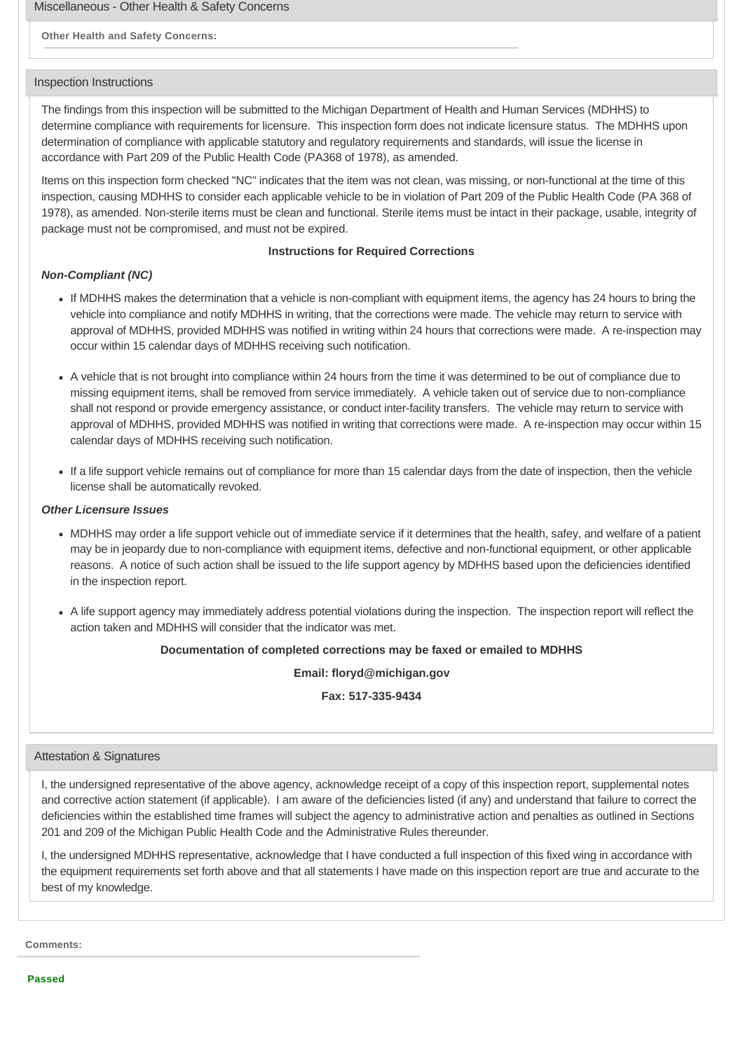Miscellaneous - Other Health & Safety Concerns

## **Other Health and Safety Concerns:**

#### Inspection Instructions

The findings from this inspection will be submitted to the Michigan Department of Health and Human Services (MDHHS) to determine compliance with requirements for licensure. This inspection form does not indicate licensure status. The MDHHS upon determination of compliance with applicable statutory and regulatory requirements and standards, will issue the license in accordance with Part 209 of the Public Health Code (PA368 of 1978), as amended.

Items on this inspection form checked "NC" indicates that the item was not clean, was missing, or non-functional at the time of this inspection, causing MDHHS to consider each applicable vehicle to be in violation of Part 209 of the Public Health Code (PA 368 of 1978), as amended. Non-sterile items must be clean and functional. Sterile items must be intact in their package, usable, integrity of package must not be compromised, and must not be expired.

## **Instructions for Required Corrections**

#### *Non-Compliant (NC)*

- If MDHHS makes the determination that a vehicle is non-compliant with equipment items, the agency has 24 hours to bring the vehicle into compliance and notify MDHHS in writing, that the corrections were made. The vehicle may return to service with approval of MDHHS, provided MDHHS was notified in writing within 24 hours that corrections were made. A re-inspection may occur within 15 calendar days of MDHHS receiving such notification.
- A vehicle that is not brought into compliance within 24 hours from the time it was determined to be out of compliance due to missing equipment items, shall be removed from service immediately. A vehicle taken out of service due to non-compliance shall not respond or provide emergency assistance, or conduct inter-facility transfers. The vehicle may return to service with approval of MDHHS, provided MDHHS was notified in writing that corrections were made. A re-inspection may occur within 15 calendar days of MDHHS receiving such notification.
- If a life support vehicle remains out of compliance for more than 15 calendar days from the date of inspection, then the vehicle license shall be automatically revoked.

#### *Other Licensure Issues*

- MDHHS may order a life support vehicle out of immediate service if it determines that the health, safey, and welfare of a patient may be in jeopardy due to non-compliance with equipment items, defective and non-functional equipment, or other applicable reasons. A notice of such action shall be issued to the life support agency by MDHHS based upon the deficiencies identified in the inspection report.
- A life support agency may immediately address potential violations during the inspection. The inspection report will reflect the action taken and MDHHS will consider that the indicator was met.

#### **Documentation of completed corrections may be faxed or emailed to MDHHS**

**Email: floryd@michigan.gov**

**Fax: 517-335-9434**

#### Attestation & Signatures

I, the undersigned representative of the above agency, acknowledge receipt of a copy of this inspection report, supplemental notes and corrective action statement (if applicable). I am aware of the deficiencies listed (if any) and understand that failure to correct the deficiencies within the established time frames will subject the agency to administrative action and penalties as outlined in Sections 201 and 209 of the Michigan Public Health Code and the Administrative Rules thereunder.

I, the undersigned MDHHS representative, acknowledge that I have conducted a full inspection of this fixed wing in accordance with the equipment requirements set forth above and that all statements I have made on this inspection report are true and accurate to the best of my knowledge.

**Comments:**